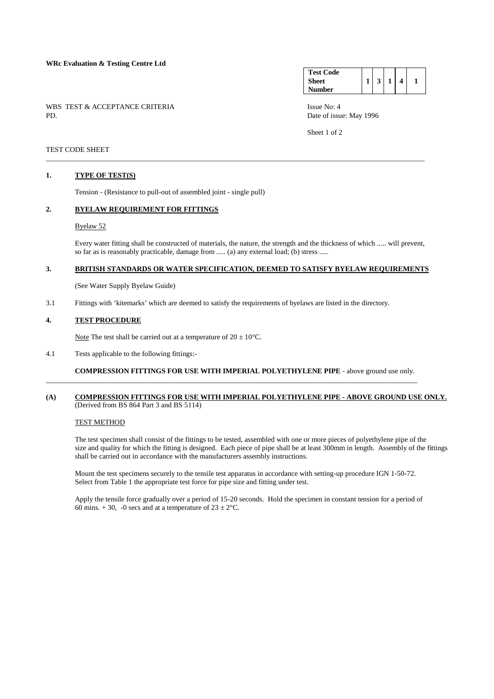### **WRc Evaluation & Testing Centre Ltd**

WBS TEST & ACCEPTANCE CRITERIA ISSUE No: 4<br>PD Date of issue

**Test Code Sheet Number**   $1 \mid 3 \mid 1 \mid 4 \mid 1$ 

Date of issue: May 1996

Sheet 1 of 2

## TEST CODE SHEET

### **1. TYPE OF TEST(S)**

Tension - (Resistance to pull-out of assembled joint - single pull)

#### **2. BYELAW REQUIREMENT FOR FITTINGS**

#### Byelaw 52

 Every water fitting shall be constructed of materials, the nature, the strength and the thickness of which ..... will prevent, so far as is reasonably practicable, damage from ..... (a) any external load; (b) stress .....

# **3. BRITISH STANDARDS OR WATER SPECIFICATION, DEEMED TO SATISFY BYELAW REQUIREMENTS**

\_\_\_\_\_\_\_\_\_\_\_\_\_\_\_\_\_\_\_\_\_\_\_\_\_\_\_\_\_\_\_\_\_\_\_\_\_\_\_\_\_\_\_\_\_\_\_\_\_\_\_\_\_\_\_\_\_\_\_\_\_\_\_\_\_\_\_\_\_\_\_\_\_\_\_\_\_\_\_\_\_\_\_\_\_\_\_\_\_\_\_\_\_\_\_\_\_\_\_\_\_\_\_

(See Water Supply Byelaw Guide)

3.1 Fittings with 'kitemarks' which are deemed to satisfy the requirements of byelaws are listed in the directory.

## **4. TEST PROCEDURE**

Note The test shall be carried out at a temperature of  $20 \pm 10^{\circ}$ C.

4.1 Tests applicable to the following fittings:-

**COMPRESSION FITTINGS FOR USE WITH IMPERIAL POLYETHYLENE PIPE** - above ground use only.

\_\_\_\_\_\_\_\_\_\_\_\_\_\_\_\_\_\_\_\_\_\_\_\_\_\_\_\_\_\_\_\_\_\_\_\_\_\_\_\_\_\_\_\_\_\_\_\_\_\_\_\_\_\_\_\_\_\_\_\_\_\_\_\_\_\_\_\_\_\_\_\_\_\_\_\_\_\_\_\_\_\_\_\_\_\_\_\_\_\_\_\_\_\_\_\_\_\_\_\_\_

### **(A) COMPRESSION FITTINGS FOR USE WITH IMPERIAL POLYETHYLENE PIPE - ABOVE GROUND USE ONLY.** (Derived from BS 864 Part 3 and BS 5114)

# TEST METHOD

 The test specimen shall consist of the fittings to be tested, assembled with one or more pieces of polyethylene pipe of the size and quality for which the fitting is designed. Each piece of pipe shall be at least 300mm in length. Assembly of the fittings shall be carried out in accordance with the manufacturers assembly instructions.

 Mount the test specimens securely to the tensile test apparatus in accordance with setting-up procedure IGN 1-50-72. Select from Table 1 the appropriate test force for pipe size and fitting under test.

 Apply the tensile force gradually over a period of 15-20 seconds. Hold the specimen in constant tension for a period of 60 mins.  $+30$ , -0 secs and at a temperature of  $23 \pm 2^{\circ}$ C.